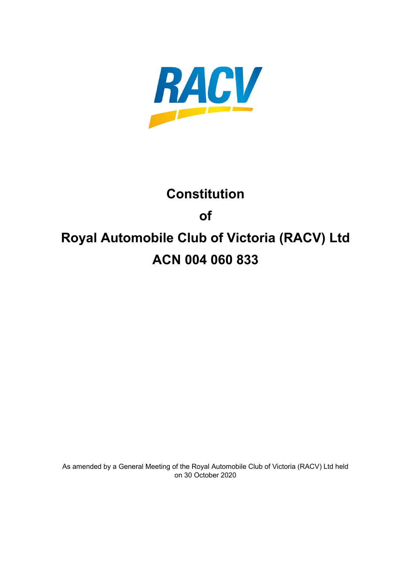

# **Constitution of Royal Automobile Club of Victoria (RACV) Ltd ACN 004 060 833**

As amended by a General Meeting of the Royal Automobile Club of Victoria (RACV) Ltd held on 30 October 2020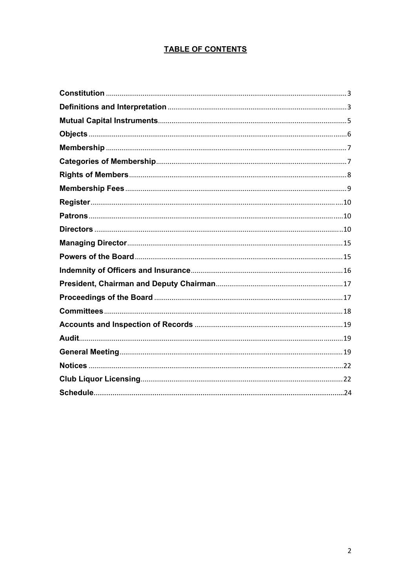# **TABLE OF CONTENTS**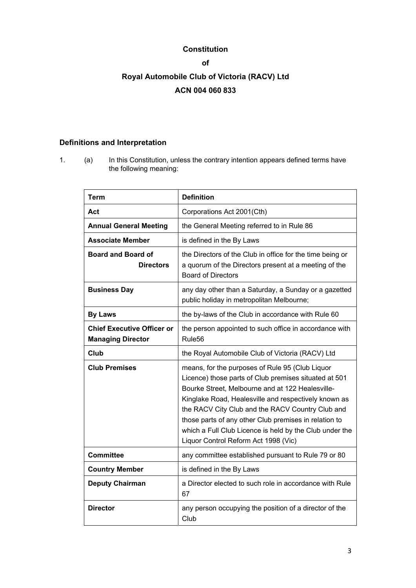# **Constitution**

# **of**

# **Royal Automobile Club of Victoria (RACV) Ltd ACN 004 060 833**

# **Definitions and Interpretation**

1. (a) In this Constitution, unless the contrary intention appears defined terms have the following meaning:

| <b>Term</b>                                                   | <b>Definition</b>                                                                                                                                                                                                                                                                                                                                                                                                                    |
|---------------------------------------------------------------|--------------------------------------------------------------------------------------------------------------------------------------------------------------------------------------------------------------------------------------------------------------------------------------------------------------------------------------------------------------------------------------------------------------------------------------|
| Act                                                           | Corporations Act 2001(Cth)                                                                                                                                                                                                                                                                                                                                                                                                           |
| <b>Annual General Meeting</b>                                 | the General Meeting referred to in Rule 86                                                                                                                                                                                                                                                                                                                                                                                           |
| <b>Associate Member</b>                                       | is defined in the By Laws                                                                                                                                                                                                                                                                                                                                                                                                            |
| <b>Board and Board of</b><br><b>Directors</b>                 | the Directors of the Club in office for the time being or<br>a quorum of the Directors present at a meeting of the<br><b>Board of Directors</b>                                                                                                                                                                                                                                                                                      |
| <b>Business Day</b>                                           | any day other than a Saturday, a Sunday or a gazetted<br>public holiday in metropolitan Melbourne;                                                                                                                                                                                                                                                                                                                                   |
| <b>By Laws</b>                                                | the by-laws of the Club in accordance with Rule 60                                                                                                                                                                                                                                                                                                                                                                                   |
| <b>Chief Executive Officer or</b><br><b>Managing Director</b> | the person appointed to such office in accordance with<br>Rule <sub>56</sub>                                                                                                                                                                                                                                                                                                                                                         |
| Club                                                          | the Royal Automobile Club of Victoria (RACV) Ltd                                                                                                                                                                                                                                                                                                                                                                                     |
| <b>Club Premises</b>                                          | means, for the purposes of Rule 95 (Club Liquor<br>Licence) those parts of Club premises situated at 501<br>Bourke Street, Melbourne and at 122 Healesville-<br>Kinglake Road, Healesville and respectively known as<br>the RACV City Club and the RACV Country Club and<br>those parts of any other Club premises in relation to<br>which a Full Club Licence is held by the Club under the<br>Liquor Control Reform Act 1998 (Vic) |
| <b>Committee</b>                                              | any committee established pursuant to Rule 79 or 80                                                                                                                                                                                                                                                                                                                                                                                  |
| <b>Country Member</b>                                         | is defined in the By Laws                                                                                                                                                                                                                                                                                                                                                                                                            |
| <b>Deputy Chairman</b>                                        | a Director elected to such role in accordance with Rule<br>67                                                                                                                                                                                                                                                                                                                                                                        |
| <b>Director</b>                                               | any person occupying the position of a director of the<br>Club                                                                                                                                                                                                                                                                                                                                                                       |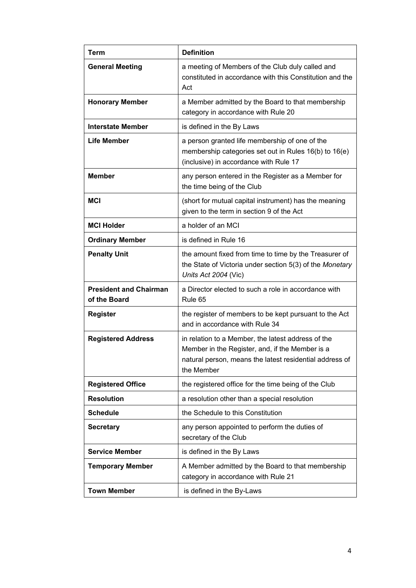| Term                                          | <b>Definition</b>                                                                                                                                                              |
|-----------------------------------------------|--------------------------------------------------------------------------------------------------------------------------------------------------------------------------------|
| <b>General Meeting</b>                        | a meeting of Members of the Club duly called and<br>constituted in accordance with this Constitution and the<br>Act                                                            |
| <b>Honorary Member</b>                        | a Member admitted by the Board to that membership<br>category in accordance with Rule 20                                                                                       |
| <b>Interstate Member</b>                      | is defined in the By Laws                                                                                                                                                      |
| <b>Life Member</b>                            | a person granted life membership of one of the<br>membership categories set out in Rules 16(b) to 16(e)<br>(inclusive) in accordance with Rule 17                              |
| <b>Member</b>                                 | any person entered in the Register as a Member for<br>the time being of the Club                                                                                               |
| MCI                                           | (short for mutual capital instrument) has the meaning<br>given to the term in section 9 of the Act                                                                             |
| <b>MCI Holder</b>                             | a holder of an MCI                                                                                                                                                             |
| <b>Ordinary Member</b>                        | is defined in Rule 16                                                                                                                                                          |
| <b>Penalty Unit</b>                           | the amount fixed from time to time by the Treasurer of<br>the State of Victoria under section 5(3) of the Monetary<br>Units Act 2004 (Vic)                                     |
| <b>President and Chairman</b><br>of the Board | a Director elected to such a role in accordance with<br>Rule 65                                                                                                                |
| <b>Register</b>                               | the register of members to be kept pursuant to the Act<br>and in accordance with Rule 34                                                                                       |
| <b>Registered Address</b>                     | in relation to a Member, the latest address of the<br>Member in the Register, and, if the Member is a<br>natural person, means the latest residential address of<br>the Member |
| <b>Registered Office</b>                      | the registered office for the time being of the Club                                                                                                                           |
| <b>Resolution</b>                             | a resolution other than a special resolution                                                                                                                                   |
| <b>Schedule</b>                               | the Schedule to this Constitution                                                                                                                                              |
| <b>Secretary</b>                              | any person appointed to perform the duties of<br>secretary of the Club                                                                                                         |
| <b>Service Member</b>                         | is defined in the By Laws                                                                                                                                                      |
| <b>Temporary Member</b>                       | A Member admitted by the Board to that membership<br>category in accordance with Rule 21                                                                                       |
| <b>Town Member</b>                            | is defined in the By-Laws                                                                                                                                                      |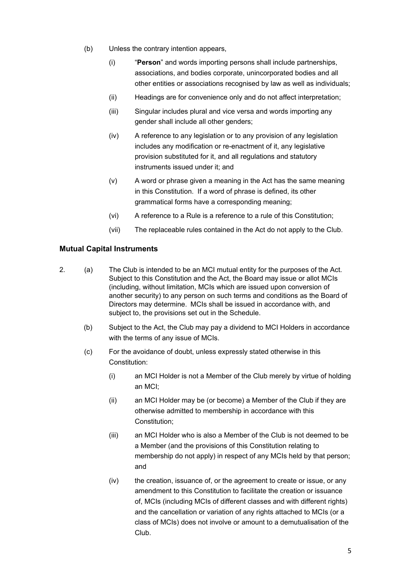- (b) Unless the contrary intention appears,
	- (i) "**Person**" and words importing persons shall include partnerships, associations, and bodies corporate, unincorporated bodies and all other entities or associations recognised by law as well as individuals;
	- (ii) Headings are for convenience only and do not affect interpretation;
	- (iii) Singular includes plural and vice versa and words importing any gender shall include all other genders;
	- (iv) A reference to any legislation or to any provision of any legislation includes any modification or re-enactment of it, any legislative provision substituted for it, and all regulations and statutory instruments issued under it; and
	- (v) A word or phrase given a meaning in the Act has the same meaning in this Constitution. If a word of phrase is defined, its other grammatical forms have a corresponding meaning;
	- (vi) A reference to a Rule is a reference to a rule of this Constitution;
	- (vii) The replaceable rules contained in the Act do not apply to the Club.

# **Mutual Capital Instruments**

- 2. (a) The Club is intended to be an MCI mutual entity for the purposes of the Act. Subject to this Constitution and the Act, the Board may issue or allot MCIs (including, without limitation, MCIs which are issued upon conversion of another security) to any person on such terms and conditions as the Board of Directors may determine. MCIs shall be issued in accordance with, and subject to, the provisions set out in the Schedule.
	- (b) Subject to the Act, the Club may pay a dividend to MCI Holders in accordance with the terms of any issue of MCIs.
	- (c) For the avoidance of doubt, unless expressly stated otherwise in this Constitution:
		- (i) an MCI Holder is not a Member of the Club merely by virtue of holding an MCI;
		- (ii) an MCI Holder may be (or become) a Member of the Club if they are otherwise admitted to membership in accordance with this Constitution;
		- (iii) an MCI Holder who is also a Member of the Club is not deemed to be a Member (and the provisions of this Constitution relating to membership do not apply) in respect of any MCIs held by that person; and
		- (iv) the creation, issuance of, or the agreement to create or issue, or any amendment to this Constitution to facilitate the creation or issuance of, MCIs (including MCIs of different classes and with different rights) and the cancellation or variation of any rights attached to MCIs (or a class of MCIs) does not involve or amount to a demutualisation of the Club.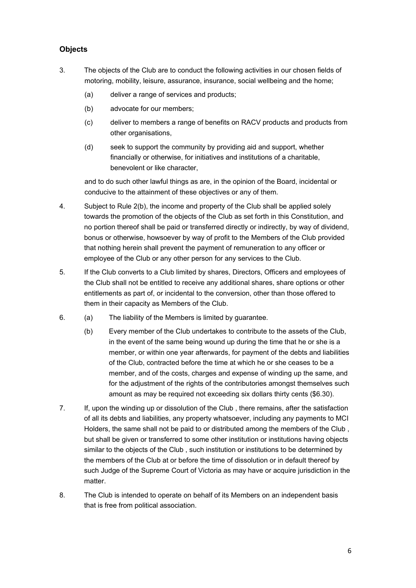# **Objects**

- 3. The objects of the Club are to conduct the following activities in our chosen fields of motoring, mobility, leisure, assurance, insurance, social wellbeing and the home;
	- (a) deliver a range of services and products;
	- (b) advocate for our members;
	- (c) deliver to members a range of benefits on RACV products and products from other organisations,
	- (d) seek to support the community by providing aid and support, whether financially or otherwise, for initiatives and institutions of a charitable, benevolent or like character,

and to do such other lawful things as are, in the opinion of the Board, incidental or conducive to the attainment of these objectives or any of them.

- 4. Subject to Rule 2(b), the income and property of the Club shall be applied solely towards the promotion of the objects of the Club as set forth in this Constitution, and no portion thereof shall be paid or transferred directly or indirectly, by way of dividend, bonus or otherwise, howsoever by way of profit to the Members of the Club provided that nothing herein shall prevent the payment of remuneration to any officer or employee of the Club or any other person for any services to the Club.
- 5. If the Club converts to a Club limited by shares, Directors, Officers and employees of the Club shall not be entitled to receive any additional shares, share options or other entitlements as part of, or incidental to the conversion, other than those offered to them in their capacity as Members of the Club.
- 6. (a) The liability of the Members is limited by guarantee.
	- (b) Every member of the Club undertakes to contribute to the assets of the Club, in the event of the same being wound up during the time that he or she is a member, or within one year afterwards, for payment of the debts and liabilities of the Club, contracted before the time at which he or she ceases to be a member, and of the costs, charges and expense of winding up the same, and for the adjustment of the rights of the contributories amongst themselves such amount as may be required not exceeding six dollars thirty cents (\$6.30).
- 7. If, upon the winding up or dissolution of the Club , there remains, after the satisfaction of all its debts and liabilities, any property whatsoever, including any payments to MCI Holders, the same shall not be paid to or distributed among the members of the Club , but shall be given or transferred to some other institution or institutions having objects similar to the objects of the Club , such institution or institutions to be determined by the members of the Club at or before the time of dissolution or in default thereof by such Judge of the Supreme Court of Victoria as may have or acquire jurisdiction in the matter.
- 8. The Club is intended to operate on behalf of its Members on an independent basis that is free from political association.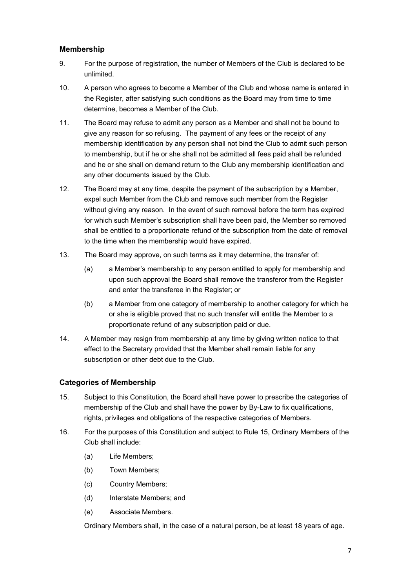# **Membership**

- 9. For the purpose of registration, the number of Members of the Club is declared to be unlimited.
- 10. A person who agrees to become a Member of the Club and whose name is entered in the Register, after satisfying such conditions as the Board may from time to time determine, becomes a Member of the Club.
- 11. The Board may refuse to admit any person as a Member and shall not be bound to give any reason for so refusing. The payment of any fees or the receipt of any membership identification by any person shall not bind the Club to admit such person to membership, but if he or she shall not be admitted all fees paid shall be refunded and he or she shall on demand return to the Club any membership identification and any other documents issued by the Club.
- 12. The Board may at any time, despite the payment of the subscription by a Member, expel such Member from the Club and remove such member from the Register without giving any reason. In the event of such removal before the term has expired for which such Member's subscription shall have been paid, the Member so removed shall be entitled to a proportionate refund of the subscription from the date of removal to the time when the membership would have expired.
- 13. The Board may approve, on such terms as it may determine, the transfer of:
	- (a) a Member's membership to any person entitled to apply for membership and upon such approval the Board shall remove the transferor from the Register and enter the transferee in the Register; or
	- (b) a Member from one category of membership to another category for which he or she is eligible proved that no such transfer will entitle the Member to a proportionate refund of any subscription paid or due.
- 14. A Member may resign from membership at any time by giving written notice to that effect to the Secretary provided that the Member shall remain liable for any subscription or other debt due to the Club.

# **Categories of Membership**

- 15. Subject to this Constitution, the Board shall have power to prescribe the categories of membership of the Club and shall have the power by By-Law to fix qualifications, rights, privileges and obligations of the respective categories of Members.
- 16. For the purposes of this Constitution and subject to Rule 15, Ordinary Members of the Club shall include:
	- (a) Life Members;
	- (b) Town Members;
	- (c) Country Members;
	- (d) Interstate Members; and
	- (e) Associate Members.

Ordinary Members shall, in the case of a natural person, be at least 18 years of age.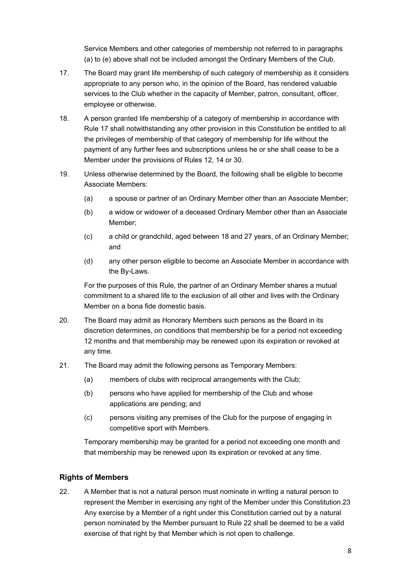Service Members and other categories of membership not referred to in paragraphs (a) to (e) above shall not be included amongst the Ordinary Members of the Club.

- 17. The Board may grant life membership of such category of membership as it considers appropriate to any person who, in the opinion of the Board, has rendered valuable services to the Club whether in the capacity of Member, patron, consultant, officer, employee or otherwise.
- 18. A person granted life membership of a category of membership in accordance with Rule 17 shall notwithstanding any other provision in this Constitution be entitled to all the privileges of membership of that category of membership for life without the payment of any further fees and subscriptions unless he or she shall cease to be a Member under the provisions of Rules 12, 14 or 30.
- 19. Unless otherwise determined by the Board, the following shall be eligible to become Associate Members:
	- (a) a spouse or partner of an Ordinary Member other than an Associate Member;
	- (b) a widow or widower of a deceased Ordinary Member other than an Associate Member;
	- (c) a child or grandchild, aged between 18 and 27 years, of an Ordinary Member; and
	- (d) any other person eligible to become an Associate Member in accordance with the By-Laws.

For the purposes of this Rule, the partner of an Ordinary Member shares a mutual commitment to a shared life to the exclusion of all other and lives with the Ordinary Member on a bona fide domestic basis.

- 20. The Board may admit as Honorary Members such persons as the Board in its discretion determines, on conditions that membership be for a period not exceeding 12 months and that membership may be renewed upon its expiration or revoked at any time.
- 21. The Board may admit the following persons as Temporary Members:
	- (a) members of clubs with reciprocal arrangements with the Club;
	- (b) persons who have applied for membership of the Club and whose applications are pending; and
	- (c) persons visiting any premises of the Club for the purpose of engaging in competitive sport with Members.

Temporary membership may be granted for a period not exceeding one month and that membership may be renewed upon its expiration or revoked at any time.

#### **Rights of Members**

22. A Member that is not a natural person must nominate in writing a natural person to represent the Member in exercising any right of the Member under this Constitution.23 Any exercise by a Member of a right under this Constitution carried out by a natural person nominated by the Member pursuant to Rule 22 shall be deemed to be a valid exercise of that right by that Member which is not open to challenge.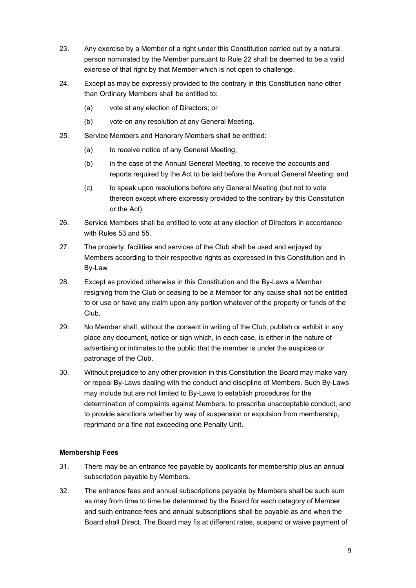- 23. Any exercise by a Member of a right under this Constitution carried out by a natural person nominated by the Member pursuant to Rule 22 shall be deemed to be a valid exercise of that right by that Member which is not open to challenge.
- 24. Except as may be expressly provided to the contrary in this Constitution none other than Ordinary Members shall be entitled to:
	- (a) vote at any election of Directors; or
	- (b) vote on any resolution at any General Meeting.
- 25. Service Members and Honorary Members shall be entitled:
	- (a) to receive notice of any General Meeting:
	- (b) in the case of the Annual General Meeting, to receive the accounts and reports required by the Act to be laid before the Annual General Meeting; and
	- (c) to speak upon resolutions before any General Meeting (but not to vote thereon except where expressly provided to the contrary by this Constitution or the Act).
- 26. Service Members shall be entitled to vote at any election of Directors in accordance with Rules 53 and 55.
- 27. The property, facilities and services of the Club shall be used and enjoyed by Members according to their respective rights as expressed in this Constitution and in By-Law
- 28. Except as provided otherwise in this Constitution and the By-Laws a Member resigning from the Club or ceasing to be a Member for any cause shall not be entitled to or use or have any claim upon any portion whatever of the property or funds of the Club.
- 29. No Member shall, without the consent in writing of the Club, publish or exhibit in any place any document, notice or sign which, in each case, is either in the nature of advertising or intimates to the public that the member is under the auspices or patronage of the Club.
- 30. Without prejudice to any other provision in this Constitution the Board may make vary or repeal By-Laws dealing with the conduct and discipline of Members. Such By-Laws may include but are not limited to By-Laws to establish procedures for the determination of complaints against Members, to prescribe unacceptable conduct, and to provide sanctions whether by way of suspension or expulsion from membership, reprimand or a fine not exceeding one Penalty Unit.

#### **Membership Fees**

- 31. There may be an entrance fee payable by applicants for membership plus an annual subscription payable by Members.
- 32. The entrance fees and annual subscriptions payable by Members shall be such sum as may from time to time be determined by the Board for each category of Member and such entrance fees and annual subscriptions shall be payable as and when the Board shall Direct. The Board may fix at different rates, suspend or waive payment of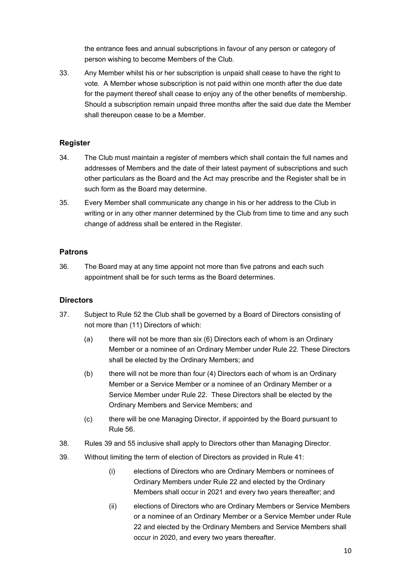the entrance fees and annual subscriptions in favour of any person or category of person wishing to become Members of the Club.

33. Any Member whilst his or her subscription is unpaid shall cease to have the right to vote. A Member whose subscription is not paid within one month after the due date for the payment thereof shall cease to enjoy any of the other benefits of membership. Should a subscription remain unpaid three months after the said due date the Member shall thereupon cease to be a Member.

# **Register**

- 34. The Club must maintain a register of members which shall contain the full names and addresses of Members and the date of their latest payment of subscriptions and such other particulars as the Board and the Act may prescribe and the Register shall be in such form as the Board may determine.
- 35. Every Member shall communicate any change in his or her address to the Club in writing or in any other manner determined by the Club from time to time and any such change of address shall be entered in the Register.

# **Patrons**

36. The Board may at any time appoint not more than five patrons and each such appointment shall be for such terms as the Board determines.

# **Directors**

- 37. Subject to Rule 52 the Club shall be governed by a Board of Directors consisting of not more than (11) Directors of which:
	- (a) there will not be more than six (6) Directors each of whom is an Ordinary Member or a nominee of an Ordinary Member under Rule 22. These Directors shall be elected by the Ordinary Members; and
	- (b) there will not be more than four (4) Directors each of whom is an Ordinary Member or a Service Member or a nominee of an Ordinary Member or a Service Member under Rule 22. These Directors shall be elected by the Ordinary Members and Service Members; and
	- (c) there will be one Managing Director, if appointed by the Board pursuant to Rule 56.
- 38. Rules 39 and 55 inclusive shall apply to Directors other than Managing Director.
- 39. Without limiting the term of election of Directors as provided in Rule 41:
	- (i) elections of Directors who are Ordinary Members or nominees of Ordinary Members under Rule 22 and elected by the Ordinary Members shall occur in 2021 and every two years thereafter; and
	- (ii) elections of Directors who are Ordinary Members or Service Members or a nominee of an Ordinary Member or a Service Member under Rule 22 and elected by the Ordinary Members and Service Members shall occur in 2020, and every two years thereafter.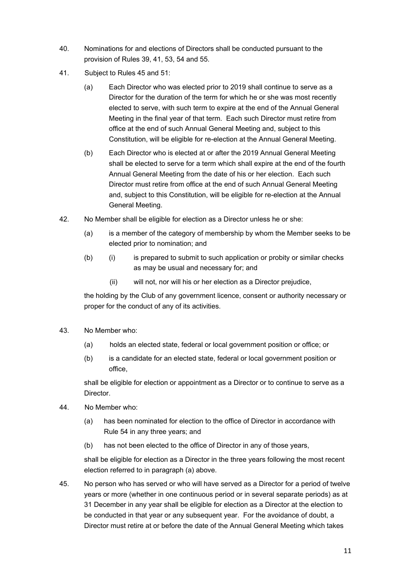- 40. Nominations for and elections of Directors shall be conducted pursuant to the provision of Rules 39, 41, 53, 54 and 55.
- 41. Subject to Rules 45 and 51:
	- (a) Each Director who was elected prior to 2019 shall continue to serve as a Director for the duration of the term for which he or she was most recently elected to serve, with such term to expire at the end of the Annual General Meeting in the final year of that term. Each such Director must retire from office at the end of such Annual General Meeting and, subject to this Constitution, will be eligible for re-election at the Annual General Meeting.
	- (b) Each Director who is elected at or after the 2019 Annual General Meeting shall be elected to serve for a term which shall expire at the end of the fourth Annual General Meeting from the date of his or her election. Each such Director must retire from office at the end of such Annual General Meeting and, subject to this Constitution, will be eligible for re-election at the Annual General Meeting.
- 42. No Member shall be eligible for election as a Director unless he or she:
	- (a) is a member of the category of membership by whom the Member seeks to be elected prior to nomination; and
	- (b) (i) is prepared to submit to such application or probity or similar checks as may be usual and necessary for; and
		- (ii) will not, nor will his or her election as a Director prejudice,

the holding by the Club of any government licence, consent or authority necessary or proper for the conduct of any of its activities.

- 43. No Member who:
	- (a) holds an elected state, federal or local government position or office; or
	- (b) is a candidate for an elected state, federal or local government position or office,

shall be eligible for election or appointment as a Director or to continue to serve as a Director.

- 44. No Member who:
	- (a) has been nominated for election to the office of Director in accordance with Rule 54 in any three years; and
	- (b) has not been elected to the office of Director in any of those years,

shall be eligible for election as a Director in the three years following the most recent election referred to in paragraph (a) above.

45. No person who has served or who will have served as a Director for a period of twelve years or more (whether in one continuous period or in several separate periods) as at 31 December in any year shall be eligible for election as a Director at the election to be conducted in that year or any subsequent year. For the avoidance of doubt, a Director must retire at or before the date of the Annual General Meeting which takes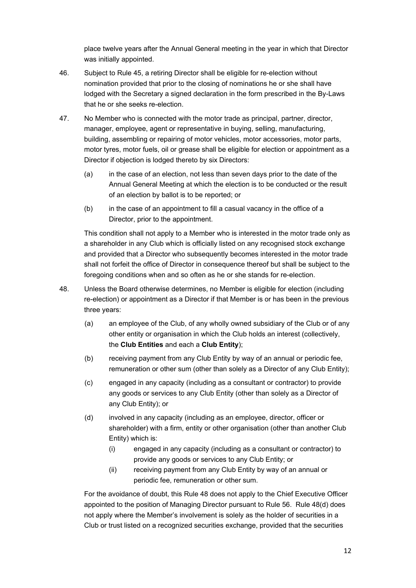place twelve years after the Annual General meeting in the year in which that Director was initially appointed.

- 46. Subject to Rule 45, a retiring Director shall be eligible for re-election without nomination provided that prior to the closing of nominations he or she shall have lodged with the Secretary a signed declaration in the form prescribed in the By-Laws that he or she seeks re-election.
- 47. No Member who is connected with the motor trade as principal, partner, director, manager, employee, agent or representative in buying, selling, manufacturing, building, assembling or repairing of motor vehicles, motor accessories, motor parts, motor tyres, motor fuels, oil or grease shall be eligible for election or appointment as a Director if objection is lodged thereto by six Directors:
	- (a) in the case of an election, not less than seven days prior to the date of the Annual General Meeting at which the election is to be conducted or the result of an election by ballot is to be reported; or
	- (b) in the case of an appointment to fill a casual vacancy in the office of a Director, prior to the appointment.

This condition shall not apply to a Member who is interested in the motor trade only as a shareholder in any Club which is officially listed on any recognised stock exchange and provided that a Director who subsequently becomes interested in the motor trade shall not forfeit the office of Director in consequence thereof but shall be subject to the foregoing conditions when and so often as he or she stands for re-election.

- 48. Unless the Board otherwise determines, no Member is eligible for election (including re-election) or appointment as a Director if that Member is or has been in the previous three years:
	- (a) an employee of the Club, of any wholly owned subsidiary of the Club or of any other entity or organisation in which the Club holds an interest (collectively, the **Club Entities** and each a **Club Entity**);
	- (b) receiving payment from any Club Entity by way of an annual or periodic fee, remuneration or other sum (other than solely as a Director of any Club Entity);
	- (c) engaged in any capacity (including as a consultant or contractor) to provide any goods or services to any Club Entity (other than solely as a Director of any Club Entity); or
	- (d) involved in any capacity (including as an employee, director, officer or shareholder) with a firm, entity or other organisation (other than another Club Entity) which is:
		- (i) engaged in any capacity (including as a consultant or contractor) to provide any goods or services to any Club Entity; or
		- (ii) receiving payment from any Club Entity by way of an annual or periodic fee, remuneration or other sum.

For the avoidance of doubt, this Rule 48 does not apply to the Chief Executive Officer appointed to the position of Managing Director pursuant to Rule 56. Rule 48(d) does not apply where the Member's involvement is solely as the holder of securities in a Club or trust listed on a recognized securities exchange, provided that the securities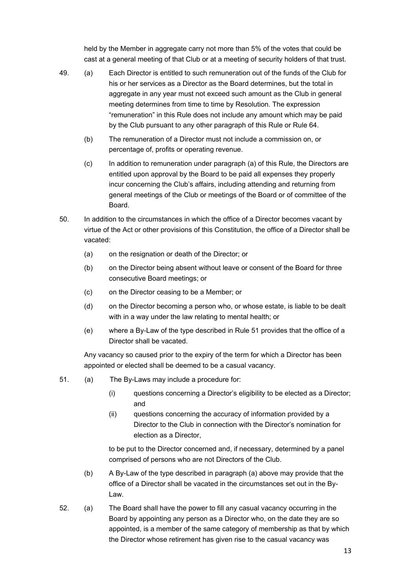held by the Member in aggregate carry not more than 5% of the votes that could be cast at a general meeting of that Club or at a meeting of security holders of that trust.

- 49. (a) Each Director is entitled to such remuneration out of the funds of the Club for his or her services as a Director as the Board determines, but the total in aggregate in any year must not exceed such amount as the Club in general meeting determines from time to time by Resolution. The expression "remuneration" in this Rule does not include any amount which may be paid by the Club pursuant to any other paragraph of this Rule or Rule 64.
	- (b) The remuneration of a Director must not include a commission on, or percentage of, profits or operating revenue.
	- (c) In addition to remuneration under paragraph (a) of this Rule, the Directors are entitled upon approval by the Board to be paid all expenses they properly incur concerning the Club's affairs, including attending and returning from general meetings of the Club or meetings of the Board or of committee of the Board.
- 50. In addition to the circumstances in which the office of a Director becomes vacant by virtue of the Act or other provisions of this Constitution, the office of a Director shall be vacated:
	- (a) on the resignation or death of the Director; or
	- (b) on the Director being absent without leave or consent of the Board for three consecutive Board meetings; or
	- (c) on the Director ceasing to be a Member; or
	- (d) on the Director becoming a person who, or whose estate, is liable to be dealt with in a way under the law relating to mental health; or
	- (e) where a By-Law of the type described in Rule 51 provides that the office of a Director shall be vacated.

Any vacancy so caused prior to the expiry of the term for which a Director has been appointed or elected shall be deemed to be a casual vacancy.

- 51. (a) The By-Laws may include a procedure for:
	- (i) questions concerning a Director's eligibility to be elected as a Director; and
	- (ii) questions concerning the accuracy of information provided by a Director to the Club in connection with the Director's nomination for election as a Director,

to be put to the Director concerned and, if necessary, determined by a panel comprised of persons who are not Directors of the Club.

- (b) A By-Law of the type described in paragraph (a) above may provide that the office of a Director shall be vacated in the circumstances set out in the By-Law.
- 52. (a) The Board shall have the power to fill any casual vacancy occurring in the Board by appointing any person as a Director who, on the date they are so appointed, is a member of the same category of membership as that by which the Director whose retirement has given rise to the casual vacancy was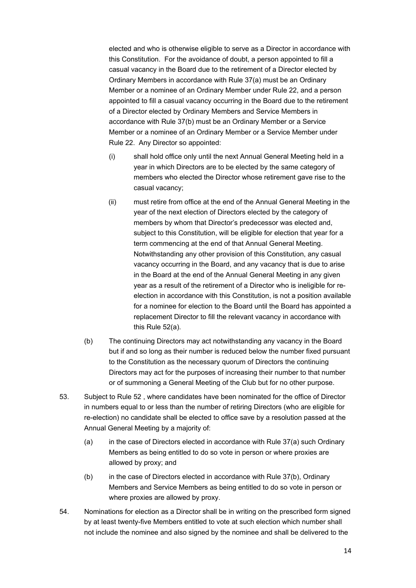elected and who is otherwise eligible to serve as a Director in accordance with this Constitution. For the avoidance of doubt, a person appointed to fill a casual vacancy in the Board due to the retirement of a Director elected by Ordinary Members in accordance with Rule 37(a) must be an Ordinary Member or a nominee of an Ordinary Member under Rule 22, and a person appointed to fill a casual vacancy occurring in the Board due to the retirement of a Director elected by Ordinary Members and Service Members in accordance with Rule 37(b) must be an Ordinary Member or a Service Member or a nominee of an Ordinary Member or a Service Member under Rule 22. Any Director so appointed:

- (i) shall hold office only until the next Annual General Meeting held in a year in which Directors are to be elected by the same category of members who elected the Director whose retirement gave rise to the casual vacancy;
- (ii) must retire from office at the end of the Annual General Meeting in the year of the next election of Directors elected by the category of members by whom that Director's predecessor was elected and, subject to this Constitution, will be eligible for election that year for a term commencing at the end of that Annual General Meeting. Notwithstanding any other provision of this Constitution, any casual vacancy occurring in the Board, and any vacancy that is due to arise in the Board at the end of the Annual General Meeting in any given year as a result of the retirement of a Director who is ineligible for reelection in accordance with this Constitution, is not a position available for a nominee for election to the Board until the Board has appointed a replacement Director to fill the relevant vacancy in accordance with this Rule 52(a).
- (b) The continuing Directors may act notwithstanding any vacancy in the Board but if and so long as their number is reduced below the number fixed pursuant to the Constitution as the necessary quorum of Directors the continuing Directors may act for the purposes of increasing their number to that number or of summoning a General Meeting of the Club but for no other purpose.
- 53. Subject to Rule 52 , where candidates have been nominated for the office of Director in numbers equal to or less than the number of retiring Directors (who are eligible for re-election) no candidate shall be elected to office save by a resolution passed at the Annual General Meeting by a majority of:
	- (a) in the case of Directors elected in accordance with Rule 37(a) such Ordinary Members as being entitled to do so vote in person or where proxies are allowed by proxy; and
	- (b) in the case of Directors elected in accordance with Rule 37(b), Ordinary Members and Service Members as being entitled to do so vote in person or where proxies are allowed by proxy.
- 54. Nominations for election as a Director shall be in writing on the prescribed form signed by at least twenty-five Members entitled to vote at such election which number shall not include the nominee and also signed by the nominee and shall be delivered to the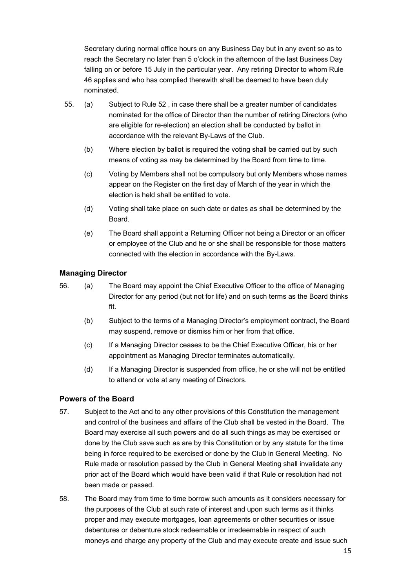Secretary during normal office hours on any Business Day but in any event so as to reach the Secretary no later than 5 o'clock in the afternoon of the last Business Day falling on or before 15 July in the particular year. Any retiring Director to whom Rule 46 applies and who has complied therewith shall be deemed to have been duly nominated.

- 55. (a) Subject to Rule 52 , in case there shall be a greater number of candidates nominated for the office of Director than the number of retiring Directors (who are eligible for re-election) an election shall be conducted by ballot in accordance with the relevant By-Laws of the Club.
	- (b) Where election by ballot is required the voting shall be carried out by such means of voting as may be determined by the Board from time to time.
	- (c) Voting by Members shall not be compulsory but only Members whose names appear on the Register on the first day of March of the year in which the election is held shall be entitled to vote.
	- (d) Voting shall take place on such date or dates as shall be determined by the Board.
	- (e) The Board shall appoint a Returning Officer not being a Director or an officer or employee of the Club and he or she shall be responsible for those matters connected with the election in accordance with the By-Laws.

# **Managing Director**

- 56. (a) The Board may appoint the Chief Executive Officer to the office of Managing Director for any period (but not for life) and on such terms as the Board thinks fit.
	- (b) Subject to the terms of a Managing Director's employment contract, the Board may suspend, remove or dismiss him or her from that office.
	- (c) If a Managing Director ceases to be the Chief Executive Officer, his or her appointment as Managing Director terminates automatically.
	- (d) If a Managing Director is suspended from office, he or she will not be entitled to attend or vote at any meeting of Directors.

# **Powers of the Board**

- 57. Subject to the Act and to any other provisions of this Constitution the management and control of the business and affairs of the Club shall be vested in the Board. The Board may exercise all such powers and do all such things as may be exercised or done by the Club save such as are by this Constitution or by any statute for the time being in force required to be exercised or done by the Club in General Meeting. No Rule made or resolution passed by the Club in General Meeting shall invalidate any prior act of the Board which would have been valid if that Rule or resolution had not been made or passed.
- 58. The Board may from time to time borrow such amounts as it considers necessary for the purposes of the Club at such rate of interest and upon such terms as it thinks proper and may execute mortgages, loan agreements or other securities or issue debentures or debenture stock redeemable or irredeemable in respect of such moneys and charge any property of the Club and may execute create and issue such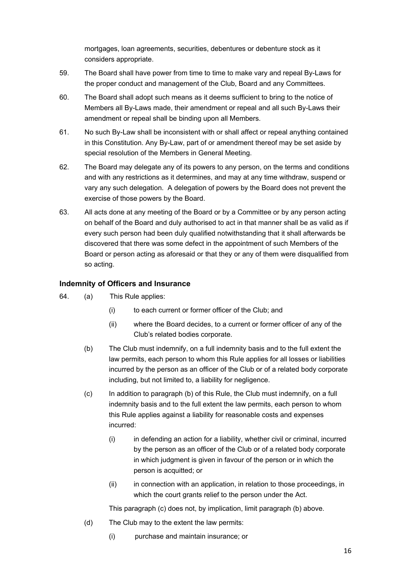mortgages, loan agreements, securities, debentures or debenture stock as it considers appropriate.

- 59. The Board shall have power from time to time to make vary and repeal By-Laws for the proper conduct and management of the Club, Board and any Committees.
- 60. The Board shall adopt such means as it deems sufficient to bring to the notice of Members all By-Laws made, their amendment or repeal and all such By-Laws their amendment or repeal shall be binding upon all Members.
- 61. No such By-Law shall be inconsistent with or shall affect or repeal anything contained in this Constitution. Any By-Law, part of or amendment thereof may be set aside by special resolution of the Members in General Meeting.
- 62. The Board may delegate any of its powers to any person, on the terms and conditions and with any restrictions as it determines, and may at any time withdraw, suspend or vary any such delegation. A delegation of powers by the Board does not prevent the exercise of those powers by the Board.
- 63. All acts done at any meeting of the Board or by a Committee or by any person acting on behalf of the Board and duly authorised to act in that manner shall be as valid as if every such person had been duly qualified notwithstanding that it shall afterwards be discovered that there was some defect in the appointment of such Members of the Board or person acting as aforesaid or that they or any of them were disqualified from so acting.

# **Indemnity of Officers and Insurance**

- 64. (a) This Rule applies:
	- (i) to each current or former officer of the Club; and
	- (ii) where the Board decides, to a current or former officer of any of the Club's related bodies corporate.
	- (b) The Club must indemnify, on a full indemnity basis and to the full extent the law permits, each person to whom this Rule applies for all losses or liabilities incurred by the person as an officer of the Club or of a related body corporate including, but not limited to, a liability for negligence.
	- (c) In addition to paragraph (b) of this Rule, the Club must indemnify, on a full indemnity basis and to the full extent the law permits, each person to whom this Rule applies against a liability for reasonable costs and expenses incurred:
		- (i) in defending an action for a liability, whether civil or criminal, incurred by the person as an officer of the Club or of a related body corporate in which judgment is given in favour of the person or in which the person is acquitted; or
		- (ii) in connection with an application, in relation to those proceedings, in which the court grants relief to the person under the Act.

This paragraph (c) does not, by implication, limit paragraph (b) above.

- (d) The Club may to the extent the law permits:
	- (i) purchase and maintain insurance; or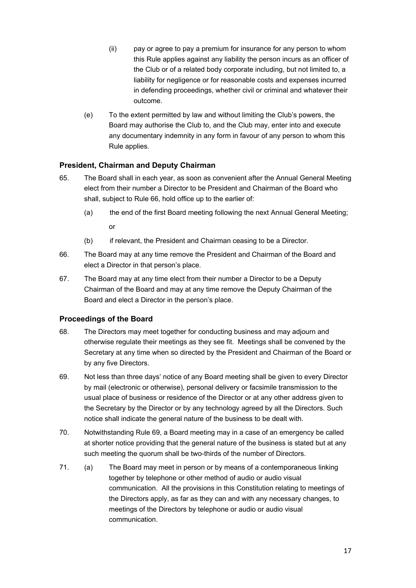- (ii) pay or agree to pay a premium for insurance for any person to whom this Rule applies against any liability the person incurs as an officer of the Club or of a related body corporate including, but not limited to, a liability for negligence or for reasonable costs and expenses incurred in defending proceedings, whether civil or criminal and whatever their outcome.
- (e) To the extent permitted by law and without limiting the Club's powers, the Board may authorise the Club to, and the Club may, enter into and execute any documentary indemnity in any form in favour of any person to whom this Rule applies.

# **President, Chairman and Deputy Chairman**

- 65. The Board shall in each year, as soon as convenient after the Annual General Meeting elect from their number a Director to be President and Chairman of the Board who shall, subject to Rule 66, hold office up to the earlier of:
	- (a) the end of the first Board meeting following the next Annual General Meeting; or
	- (b) if relevant, the President and Chairman ceasing to be a Director.
- 66. The Board may at any time remove the President and Chairman of the Board and elect a Director in that person's place.
- 67. The Board may at any time elect from their number a Director to be a Deputy Chairman of the Board and may at any time remove the Deputy Chairman of the Board and elect a Director in the person's place.

# **Proceedings of the Board**

- 68. The Directors may meet together for conducting business and may adjourn and otherwise regulate their meetings as they see fit. Meetings shall be convened by the Secretary at any time when so directed by the President and Chairman of the Board or by any five Directors.
- 69. Not less than three days' notice of any Board meeting shall be given to every Director by mail (electronic or otherwise), personal delivery or facsimile transmission to the usual place of business or residence of the Director or at any other address given to the Secretary by the Director or by any technology agreed by all the Directors. Such notice shall indicate the general nature of the business to be dealt with.
- 70. Notwithstanding Rule 69, a Board meeting may in a case of an emergency be called at shorter notice providing that the general nature of the business is stated but at any such meeting the quorum shall be two-thirds of the number of Directors.
- 71. (a) The Board may meet in person or by means of a contemporaneous linking together by telephone or other method of audio or audio visual communication. All the provisions in this Constitution relating to meetings of the Directors apply, as far as they can and with any necessary changes, to meetings of the Directors by telephone or audio or audio visual communication.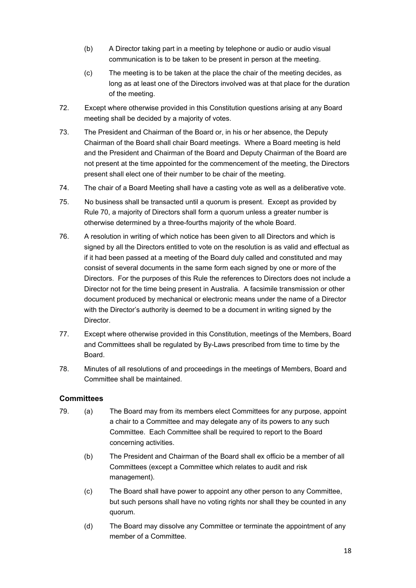- (b) A Director taking part in a meeting by telephone or audio or audio visual communication is to be taken to be present in person at the meeting.
- (c) The meeting is to be taken at the place the chair of the meeting decides, as long as at least one of the Directors involved was at that place for the duration of the meeting.
- 72. Except where otherwise provided in this Constitution questions arising at any Board meeting shall be decided by a majority of votes.
- 73. The President and Chairman of the Board or, in his or her absence, the Deputy Chairman of the Board shall chair Board meetings. Where a Board meeting is held and the President and Chairman of the Board and Deputy Chairman of the Board are not present at the time appointed for the commencement of the meeting, the Directors present shall elect one of their number to be chair of the meeting.
- 74. The chair of a Board Meeting shall have a casting vote as well as a deliberative vote.
- 75. No business shall be transacted until a quorum is present. Except as provided by Rule 70, a majority of Directors shall form a quorum unless a greater number is otherwise determined by a three-fourths majority of the whole Board.
- 76. A resolution in writing of which notice has been given to all Directors and which is signed by all the Directors entitled to vote on the resolution is as valid and effectual as if it had been passed at a meeting of the Board duly called and constituted and may consist of several documents in the same form each signed by one or more of the Directors. For the purposes of this Rule the references to Directors does not include a Director not for the time being present in Australia. A facsimile transmission or other document produced by mechanical or electronic means under the name of a Director with the Director's authority is deemed to be a document in writing signed by the **Director**
- 77. Except where otherwise provided in this Constitution, meetings of the Members, Board and Committees shall be regulated by By-Laws prescribed from time to time by the Board.
- 78. Minutes of all resolutions of and proceedings in the meetings of Members, Board and Committee shall be maintained.

# **Committees**

- 79. (a) The Board may from its members elect Committees for any purpose, appoint a chair to a Committee and may delegate any of its powers to any such Committee. Each Committee shall be required to report to the Board concerning activities.
	- (b) The President and Chairman of the Board shall ex officio be a member of all Committees (except a Committee which relates to audit and risk management).
	- (c) The Board shall have power to appoint any other person to any Committee, but such persons shall have no voting rights nor shall they be counted in any quorum.
	- (d) The Board may dissolve any Committee or terminate the appointment of any member of a Committee.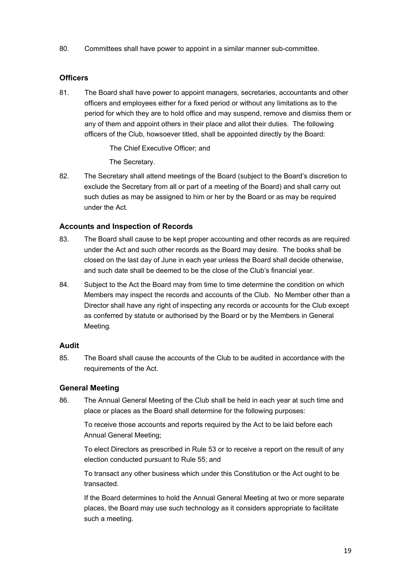80. Committees shall have power to appoint in a similar manner sub-committee.

# **Officers**

81. The Board shall have power to appoint managers, secretaries, accountants and other officers and employees either for a fixed period or without any limitations as to the period for which they are to hold office and may suspend, remove and dismiss them or any of them and appoint others in their place and allot their duties. The following officers of the Club, howsoever titled, shall be appointed directly by the Board:

The Chief Executive Officer; and

The Secretary.

82. The Secretary shall attend meetings of the Board (subject to the Board's discretion to exclude the Secretary from all or part of a meeting of the Board) and shall carry out such duties as may be assigned to him or her by the Board or as may be required under the Act.

# **Accounts and Inspection of Records**

- 83. The Board shall cause to be kept proper accounting and other records as are required under the Act and such other records as the Board may desire. The books shall be closed on the last day of June in each year unless the Board shall decide otherwise, and such date shall be deemed to be the close of the Club's financial year.
- 84. Subject to the Act the Board may from time to time determine the condition on which Members may inspect the records and accounts of the Club. No Member other than a Director shall have any right of inspecting any records or accounts for the Club except as conferred by statute or authorised by the Board or by the Members in General Meeting.

#### **Audit**

85. The Board shall cause the accounts of the Club to be audited in accordance with the requirements of the Act.

# **General Meeting**

86. The Annual General Meeting of the Club shall be held in each year at such time and place or places as the Board shall determine for the following purposes:

To receive those accounts and reports required by the Act to be laid before each Annual General Meeting;

To elect Directors as prescribed in Rule 53 or to receive a report on the result of any election conducted pursuant to Rule 55; and

To transact any other business which under this Constitution or the Act ought to be transacted.

If the Board determines to hold the Annual General Meeting at two or more separate places, the Board may use such technology as it considers appropriate to facilitate such a meeting.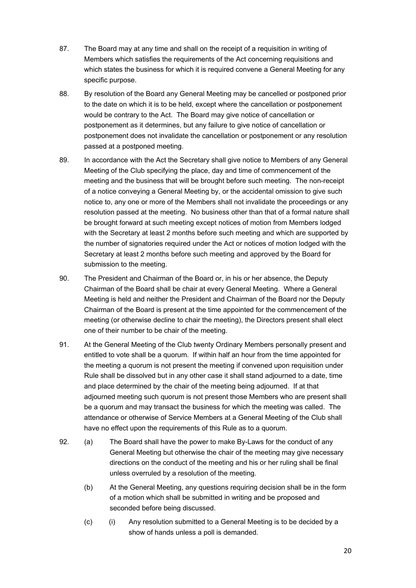- 87. The Board may at any time and shall on the receipt of a requisition in writing of Members which satisfies the requirements of the Act concerning requisitions and which states the business for which it is required convene a General Meeting for any specific purpose.
- 88. By resolution of the Board any General Meeting may be cancelled or postponed prior to the date on which it is to be held, except where the cancellation or postponement would be contrary to the Act. The Board may give notice of cancellation or postponement as it determines, but any failure to give notice of cancellation or postponement does not invalidate the cancellation or postponement or any resolution passed at a postponed meeting.
- 89. In accordance with the Act the Secretary shall give notice to Members of any General Meeting of the Club specifying the place, day and time of commencement of the meeting and the business that will be brought before such meeting. The non-receipt of a notice conveying a General Meeting by, or the accidental omission to give such notice to, any one or more of the Members shall not invalidate the proceedings or any resolution passed at the meeting. No business other than that of a formal nature shall be brought forward at such meeting except notices of motion from Members lodged with the Secretary at least 2 months before such meeting and which are supported by the number of signatories required under the Act or notices of motion lodged with the Secretary at least 2 months before such meeting and approved by the Board for submission to the meeting.
- 90. The President and Chairman of the Board or, in his or her absence, the Deputy Chairman of the Board shall be chair at every General Meeting. Where a General Meeting is held and neither the President and Chairman of the Board nor the Deputy Chairman of the Board is present at the time appointed for the commencement of the meeting (or otherwise decline to chair the meeting), the Directors present shall elect one of their number to be chair of the meeting.
- 91. At the General Meeting of the Club twenty Ordinary Members personally present and entitled to vote shall be a quorum. If within half an hour from the time appointed for the meeting a quorum is not present the meeting if convened upon requisition under Rule shall be dissolved but in any other case it shall stand adjourned to a date, time and place determined by the chair of the meeting being adjourned. If at that adjourned meeting such quorum is not present those Members who are present shall be a quorum and may transact the business for which the meeting was called. The attendance or otherwise of Service Members at a General Meeting of the Club shall have no effect upon the requirements of this Rule as to a quorum.
- 92. (a) The Board shall have the power to make By-Laws for the conduct of any General Meeting but otherwise the chair of the meeting may give necessary directions on the conduct of the meeting and his or her ruling shall be final unless overruled by a resolution of the meeting.
	- (b) At the General Meeting, any questions requiring decision shall be in the form of a motion which shall be submitted in writing and be proposed and seconded before being discussed.
	- (c) (i) Any resolution submitted to a General Meeting is to be decided by a show of hands unless a poll is demanded.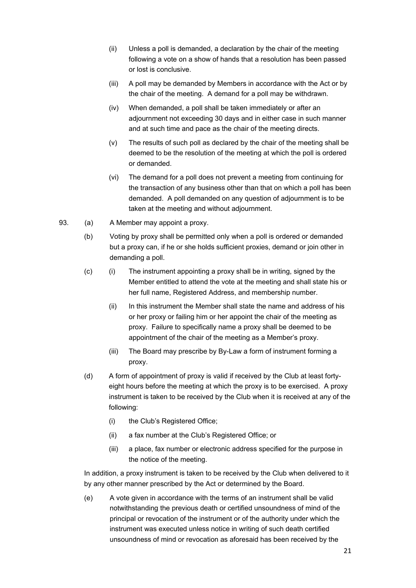- (ii) Unless a poll is demanded, a declaration by the chair of the meeting following a vote on a show of hands that a resolution has been passed or lost is conclusive.
- (iii) A poll may be demanded by Members in accordance with the Act or by the chair of the meeting. A demand for a poll may be withdrawn.
- (iv) When demanded, a poll shall be taken immediately or after an adjournment not exceeding 30 days and in either case in such manner and at such time and pace as the chair of the meeting directs.
- (v) The results of such poll as declared by the chair of the meeting shall be deemed to be the resolution of the meeting at which the poll is ordered or demanded.
- (vi) The demand for a poll does not prevent a meeting from continuing for the transaction of any business other than that on which a poll has been demanded. A poll demanded on any question of adjournment is to be taken at the meeting and without adjournment.
- 93. (a) A Member may appoint a proxy.
	- (b) Voting by proxy shall be permitted only when a poll is ordered or demanded but a proxy can, if he or she holds sufficient proxies, demand or join other in demanding a poll.
	- (c) (i) The instrument appointing a proxy shall be in writing, signed by the Member entitled to attend the vote at the meeting and shall state his or her full name, Registered Address, and membership number.
		- (ii) In this instrument the Member shall state the name and address of his or her proxy or failing him or her appoint the chair of the meeting as proxy. Failure to specifically name a proxy shall be deemed to be appointment of the chair of the meeting as a Member's proxy.
		- (iii) The Board may prescribe by By-Law a form of instrument forming a proxy.
	- (d) A form of appointment of proxy is valid if received by the Club at least fortyeight hours before the meeting at which the proxy is to be exercised. A proxy instrument is taken to be received by the Club when it is received at any of the following:
		- (i) the Club's Registered Office;
		- (ii) a fax number at the Club's Registered Office; or
		- (iii) a place, fax number or electronic address specified for the purpose in the notice of the meeting.

In addition, a proxy instrument is taken to be received by the Club when delivered to it by any other manner prescribed by the Act or determined by the Board.

 (e) A vote given in accordance with the terms of an instrument shall be valid notwithstanding the previous death or certified unsoundness of mind of the principal or revocation of the instrument or of the authority under which the instrument was executed unless notice in writing of such death certified unsoundness of mind or revocation as aforesaid has been received by the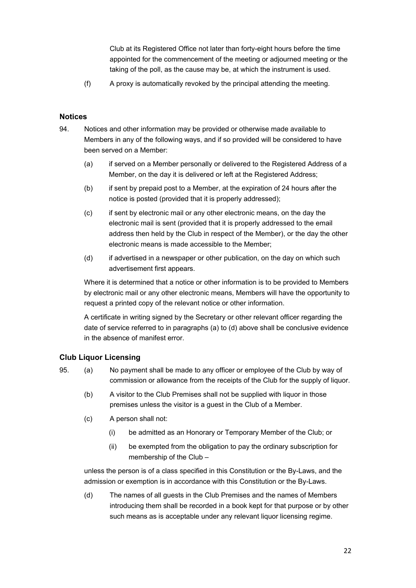Club at its Registered Office not later than forty-eight hours before the time appointed for the commencement of the meeting or adjourned meeting or the taking of the poll, as the cause may be, at which the instrument is used.

(f) A proxy is automatically revoked by the principal attending the meeting.

# **Notices**

- 94. Notices and other information may be provided or otherwise made available to Members in any of the following ways, and if so provided will be considered to have been served on a Member:
	- (a) if served on a Member personally or delivered to the Registered Address of a Member, on the day it is delivered or left at the Registered Address;
	- (b) if sent by prepaid post to a Member, at the expiration of 24 hours after the notice is posted (provided that it is properly addressed);
	- (c) if sent by electronic mail or any other electronic means, on the day the electronic mail is sent (provided that it is properly addressed to the email address then held by the Club in respect of the Member), or the day the other electronic means is made accessible to the Member;
	- (d) if advertised in a newspaper or other publication, on the day on which such advertisement first appears.

Where it is determined that a notice or other information is to be provided to Members by electronic mail or any other electronic means, Members will have the opportunity to request a printed copy of the relevant notice or other information.

A certificate in writing signed by the Secretary or other relevant officer regarding the date of service referred to in paragraphs (a) to (d) above shall be conclusive evidence in the absence of manifest error.

# **Club Liquor Licensing**

- 95. (a) No payment shall be made to any officer or employee of the Club by way of commission or allowance from the receipts of the Club for the supply of liquor.
	- (b) A visitor to the Club Premises shall not be supplied with liquor in those premises unless the visitor is a guest in the Club of a Member.
	- (c) A person shall not:
		- (i) be admitted as an Honorary or Temporary Member of the Club; or
		- (ii) be exempted from the obligation to pay the ordinary subscription for membership of the Club –

unless the person is of a class specified in this Constitution or the By-Laws, and the admission or exemption is in accordance with this Constitution or the By-Laws.

 (d) The names of all guests in the Club Premises and the names of Members introducing them shall be recorded in a book kept for that purpose or by other such means as is acceptable under any relevant liquor licensing regime.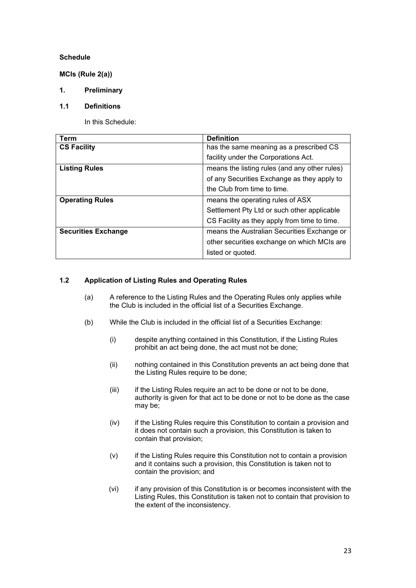# **Schedule**

**MCIs (Rule 2(a))** 

# **1. Preliminary**

#### **1.1 Definitions**

In this Schedule:

| Term                       | <b>Definition</b>                             |
|----------------------------|-----------------------------------------------|
| <b>CS Facility</b>         | has the same meaning as a prescribed CS       |
|                            | facility under the Corporations Act.          |
| <b>Listing Rules</b>       | means the listing rules (and any other rules) |
|                            | of any Securities Exchange as they apply to   |
|                            | the Club from time to time.                   |
| <b>Operating Rules</b>     | means the operating rules of ASX              |
|                            | Settlement Pty Ltd or such other applicable   |
|                            | CS Facility as they apply from time to time.  |
| <b>Securities Exchange</b> | means the Australian Securities Exchange or   |
|                            | other securities exchange on which MCIs are   |
|                            | listed or quoted.                             |

# **1.2 Application of Listing Rules and Operating Rules**

- (a) A reference to the Listing Rules and the Operating Rules only applies while the Club is included in the official list of a Securities Exchange.
- (b) While the Club is included in the official list of a Securities Exchange:
	- (i) despite anything contained in this Constitution, if the Listing Rules prohibit an act being done, the act must not be done;
	- (ii) nothing contained in this Constitution prevents an act being done that the Listing Rules require to be done;
	- (iii) if the Listing Rules require an act to be done or not to be done, authority is given for that act to be done or not to be done as the case may be;
	- (iv) if the Listing Rules require this Constitution to contain a provision and it does not contain such a provision, this Constitution is taken to contain that provision;
	- (v) if the Listing Rules require this Constitution not to contain a provision and it contains such a provision, this Constitution is taken not to contain the provision; and
	- (vi) if any provision of this Constitution is or becomes inconsistent with the Listing Rules, this Constitution is taken not to contain that provision to the extent of the inconsistency.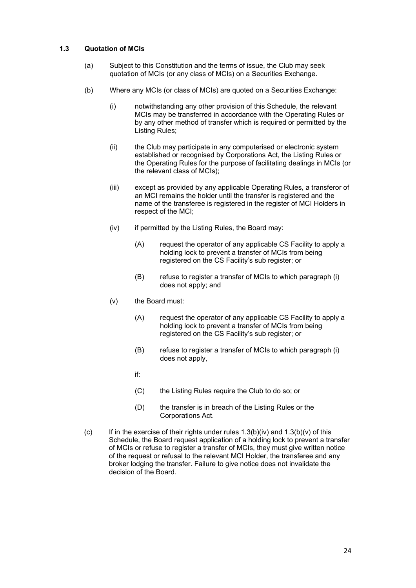#### **1.3 Quotation of MCIs**

- (a) Subject to this Constitution and the terms of issue, the Club may seek quotation of MCIs (or any class of MCIs) on a Securities Exchange.
- (b) Where any MCIs (or class of MCIs) are quoted on a Securities Exchange:
	- (i) notwithstanding any other provision of this Schedule, the relevant MCIs may be transferred in accordance with the Operating Rules or by any other method of transfer which is required or permitted by the Listing Rules;
	- (ii) the Club may participate in any computerised or electronic system established or recognised by Corporations Act, the Listing Rules or the Operating Rules for the purpose of facilitating dealings in MCIs (or the relevant class of MCIs);
	- (iii) except as provided by any applicable Operating Rules, a transferor of an MCI remains the holder until the transfer is registered and the name of the transferee is registered in the register of MCI Holders in respect of the MCI;
	- (iv) if permitted by the Listing Rules, the Board may:
		- (A) request the operator of any applicable CS Facility to apply a holding lock to prevent a transfer of MCIs from being registered on the CS Facility's sub register; or
		- (B) refuse to register a transfer of MCIs to which paragraph (i) does not apply; and
	- (v) the Board must:
		- (A) request the operator of any applicable CS Facility to apply a holding lock to prevent a transfer of MCIs from being registered on the CS Facility's sub register; or
		- (B) refuse to register a transfer of MCIs to which paragraph (i) does not apply,
- if: in the state of the state of the state of the state of the state of the state of the state of the state of
	- (C) the Listing Rules require the Club to do so; or
	- (D) the transfer is in breach of the Listing Rules or the Corporations Act.
	- (c) If in the exercise of their rights under rules  $1.3(b)(iv)$  and  $1.3(b)(v)$  of this Schedule, the Board request application of a holding lock to prevent a transfer of MCIs or refuse to register a transfer of MCIs, they must give written notice of the request or refusal to the relevant MCI Holder, the transferee and any broker lodging the transfer. Failure to give notice does not invalidate the decision of the Board.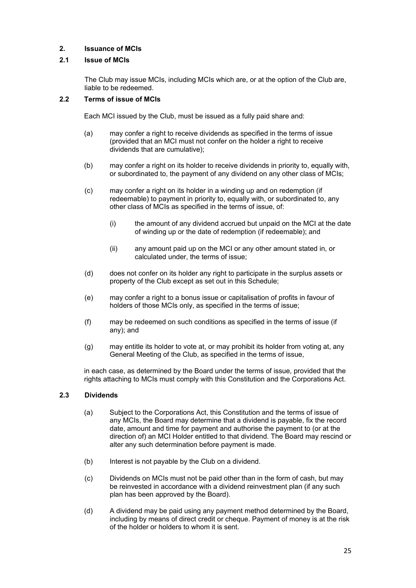# **2. Issuance of MCIs**

# **2.1 Issue of MCIs**

The Club may issue MCIs, including MCIs which are, or at the option of the Club are, liable to be redeemed.

#### **2.2 Terms of issue of MCIs**

Each MCI issued by the Club, must be issued as a fully paid share and:

- (a) may confer a right to receive dividends as specified in the terms of issue (provided that an MCI must not confer on the holder a right to receive dividends that are cumulative);
- (b) may confer a right on its holder to receive dividends in priority to, equally with, or subordinated to, the payment of any dividend on any other class of MCIs;
- (c) may confer a right on its holder in a winding up and on redemption (if redeemable) to payment in priority to, equally with, or subordinated to, any other class of MCIs as specified in the terms of issue, of:
	- (i) the amount of any dividend accrued but unpaid on the MCI at the date of winding up or the date of redemption (if redeemable); and
	- (ii) any amount paid up on the MCI or any other amount stated in, or calculated under, the terms of issue;
- (d) does not confer on its holder any right to participate in the surplus assets or property of the Club except as set out in this Schedule;
- (e) may confer a right to a bonus issue or capitalisation of profits in favour of holders of those MCIs only, as specified in the terms of issue;
- (f) may be redeemed on such conditions as specified in the terms of issue (if any); and
- (g) may entitle its holder to vote at, or may prohibit its holder from voting at, any General Meeting of the Club, as specified in the terms of issue,

 in each case, as determined by the Board under the terms of issue, provided that the rights attaching to MCIs must comply with this Constitution and the Corporations Act.

#### **2.3 Dividends**

- (a) Subject to the Corporations Act, this Constitution and the terms of issue of any MCIs, the Board may determine that a dividend is payable, fix the record date, amount and time for payment and authorise the payment to (or at the direction of) an MCI Holder entitled to that dividend. The Board may rescind or alter any such determination before payment is made.
- (b) Interest is not payable by the Club on a dividend.
- (c) Dividends on MCIs must not be paid other than in the form of cash, but may be reinvested in accordance with a dividend reinvestment plan (if any such plan has been approved by the Board).
- (d) A dividend may be paid using any payment method determined by the Board, including by means of direct credit or cheque. Payment of money is at the risk of the holder or holders to whom it is sent.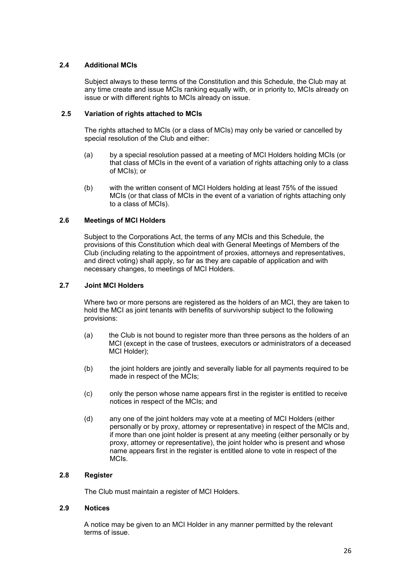# **2.4 Additional MCIs**

Subject always to these terms of the Constitution and this Schedule, the Club may at any time create and issue MCIs ranking equally with, or in priority to, MCIs already on issue or with different rights to MCIs already on issue.

#### **2.5 Variation of rights attached to MCIs**

The rights attached to MCIs (or a class of MCIs) may only be varied or cancelled by special resolution of the Club and either:

- (a) by a special resolution passed at a meeting of MCI Holders holding MCIs (or that class of MCIs in the event of a variation of rights attaching only to a class of MCIs); or
- (b) with the written consent of MCI Holders holding at least 75% of the issued MCIs (or that class of MCIs in the event of a variation of rights attaching only to a class of MCIs).

#### **2.6 Meetings of MCI Holders**

Subject to the Corporations Act, the terms of any MCIs and this Schedule, the provisions of this Constitution which deal with General Meetings of Members of the Club (including relating to the appointment of proxies, attorneys and representatives, and direct voting) shall apply, so far as they are capable of application and with necessary changes, to meetings of MCI Holders.

#### **2.7 Joint MCI Holders**

Where two or more persons are registered as the holders of an MCI, they are taken to hold the MCI as joint tenants with benefits of survivorship subject to the following provisions:

- (a) the Club is not bound to register more than three persons as the holders of an MCI (except in the case of trustees, executors or administrators of a deceased MCI Holder);
- (b) the joint holders are jointly and severally liable for all payments required to be made in respect of the MCIs;
- (c) only the person whose name appears first in the register is entitled to receive notices in respect of the MCIs; and
- (d) any one of the joint holders may vote at a meeting of MCI Holders (either personally or by proxy, attorney or representative) in respect of the MCIs and, if more than one joint holder is present at any meeting (either personally or by proxy, attorney or representative), the joint holder who is present and whose name appears first in the register is entitled alone to vote in respect of the MCIs.

#### **2.8 Register**

The Club must maintain a register of MCI Holders.

#### **2.9 Notices**

A notice may be given to an MCI Holder in any manner permitted by the relevant terms of issue.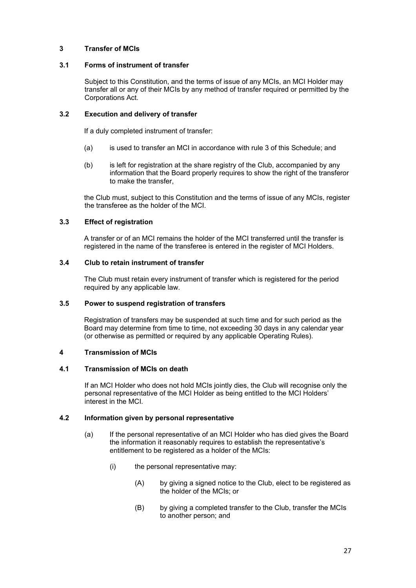# **3 Transfer of MCIs**

#### **3.1 Forms of instrument of transfer**

Subject to this Constitution, and the terms of issue of any MCIs, an MCI Holder may transfer all or any of their MCIs by any method of transfer required or permitted by the Corporations Act.

#### **3.2 Execution and delivery of transfer**

If a duly completed instrument of transfer:

- (a) is used to transfer an MCI in accordance with rule 3 of this Schedule; and
- (b) is left for registration at the share registry of the Club, accompanied by any information that the Board properly requires to show the right of the transferor to make the transfer,

the Club must, subject to this Constitution and the terms of issue of any MCIs, register the transferee as the holder of the MCI.

#### **3.3 Effect of registration**

A transfer or of an MCI remains the holder of the MCI transferred until the transfer is registered in the name of the transferee is entered in the register of MCI Holders.

#### **3.4 Club to retain instrument of transfer**

The Club must retain every instrument of transfer which is registered for the period required by any applicable law.

#### **3.5 Power to suspend registration of transfers**

Registration of transfers may be suspended at such time and for such period as the Board may determine from time to time, not exceeding 30 days in any calendar year (or otherwise as permitted or required by any applicable Operating Rules).

#### **4 Transmission of MCIs**

#### **4.1 Transmission of MCIs on death**

If an MCI Holder who does not hold MCIs jointly dies, the Club will recognise only the personal representative of the MCI Holder as being entitled to the MCI Holders' interest in the MCI.

#### **4.2 Information given by personal representative**

- (a) If the personal representative of an MCI Holder who has died gives the Board the information it reasonably requires to establish the representative's entitlement to be registered as a holder of the MCIs:
	- (i) the personal representative may:
		- (A) by giving a signed notice to the Club, elect to be registered as the holder of the MCIs; or
		- (B) by giving a completed transfer to the Club, transfer the MCIs to another person; and